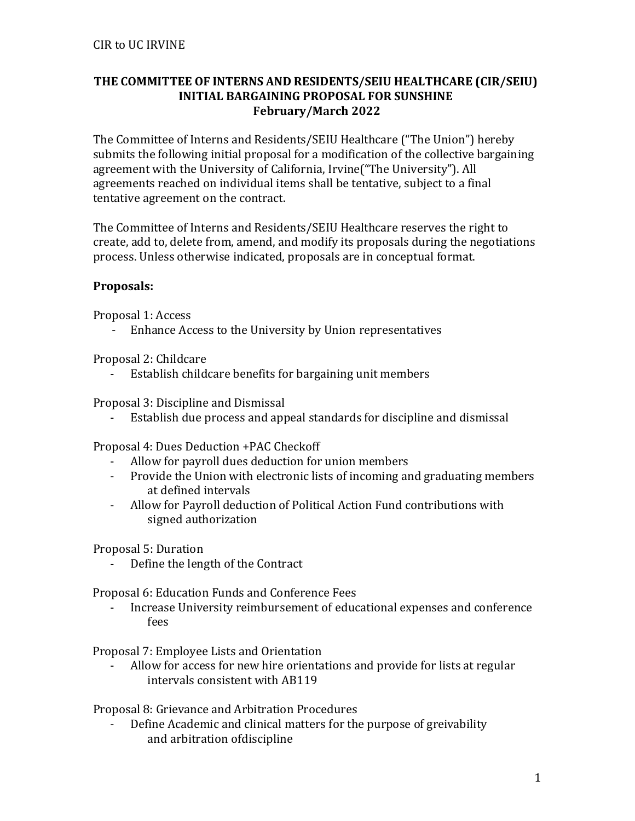## **THE COMMITTEE OF INTERNS AND RESIDENTS/SEIU HEALTHCARE (CIR/SEIU) INITIAL BARGAINING PROPOSAL FOR SUNSHINE February/March 2022**

The Committee of Interns and Residents/SEIU Healthcare ("The Union") hereby submits the following initial proposal for a modification of the collective bargaining agreement with the University of California, Irvine("The University"). All agreements reached on individual items shall be tentative, subject to a final tentative agreement on the contract.

The Committee of Interns and Residents/SEIU Healthcare reserves the right to create, add to, delete from, amend, and modify its proposals during the negotiations process. Unless otherwise indicated, proposals are in conceptual format.

## **Proposals:**

Proposal 1: Access

- Enhance Access to the University by Union representatives

Proposal 2: Childcare

- Establish childcare benefits for bargaining unit members

Proposal 3: Discipline and Dismissal

Establish due process and appeal standards for discipline and dismissal

Proposal 4: Dues Deduction +PAC Checkoff

- Allow for payroll dues deduction for union members
- Provide the Union with electronic lists of incoming and graduating members at defined intervals
- Allow for Payroll deduction of Political Action Fund contributions with signed authorization

Proposal 5: Duration

Define the length of the Contract

Proposal 6: Education Funds and Conference Fees

- Increase University reimbursement of educational expenses and conference fees

Proposal 7: Employee Lists and Orientation

Allow for access for new hire orientations and provide for lists at regular intervals consistent with AB119

Proposal 8: Grievance and Arbitration Procedures

- Define Academic and clinical matters for the purpose of greivability and arbitration ofdiscipline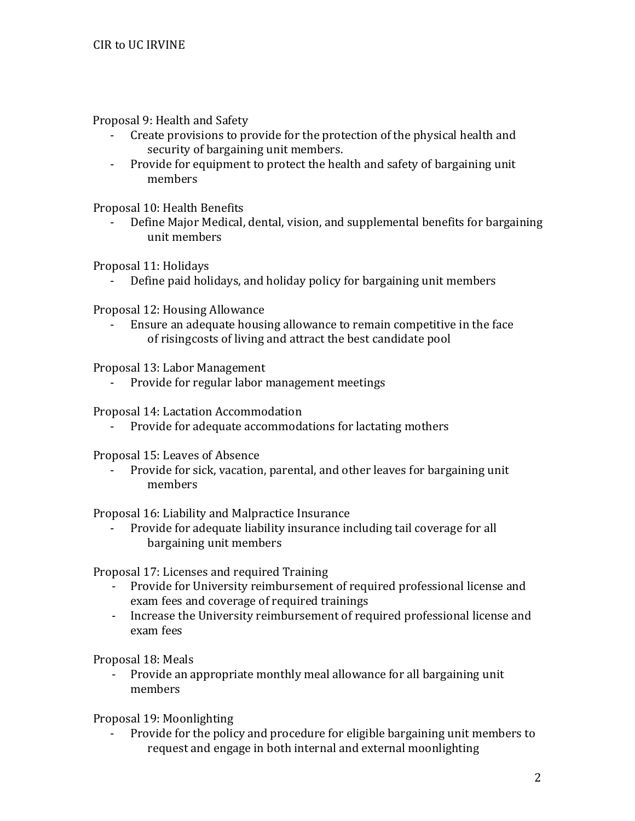Proposal 9: Health and Safety

- Create provisions to provide for the protection of the physical health and security of bargaining unit members.
- Provide for equipment to protect the health and safety of bargaining unit members

Proposal 10: Health Benefits

Define Major Medical, dental, vision, and supplemental benefits for bargaining unit members

Proposal 11: Holidays

Define paid holidays, and holiday policy for bargaining unit members

Proposal 12: Housing Allowance

- Ensure an adequate housing allowance to remain competitive in the face of risingcosts of living and attract the best candidate pool

Proposal 13: Labor Management

- Provide for regular labor management meetings

Proposal 14: Lactation Accommodation

- Provide for adequate accommodations for lactating mothers

Proposal 15: Leaves of Absence

- Provide for sick, vacation, parental, and other leaves for bargaining unit members

Proposal 16: Liability and Malpractice Insurance

- Provide for adequate liability insurance including tail coverage for all bargaining unit members

Proposal 17: Licenses and required Training

- Provide for University reimbursement of required professional license and exam fees and coverage of required trainings
- Increase the University reimbursement of required professional license and exam fees

Proposal 18: Meals

- Provide an appropriate monthly meal allowance for all bargaining unit members

Proposal 19: Moonlighting

Provide for the policy and procedure for eligible bargaining unit members to request and engage in both internal and external moonlighting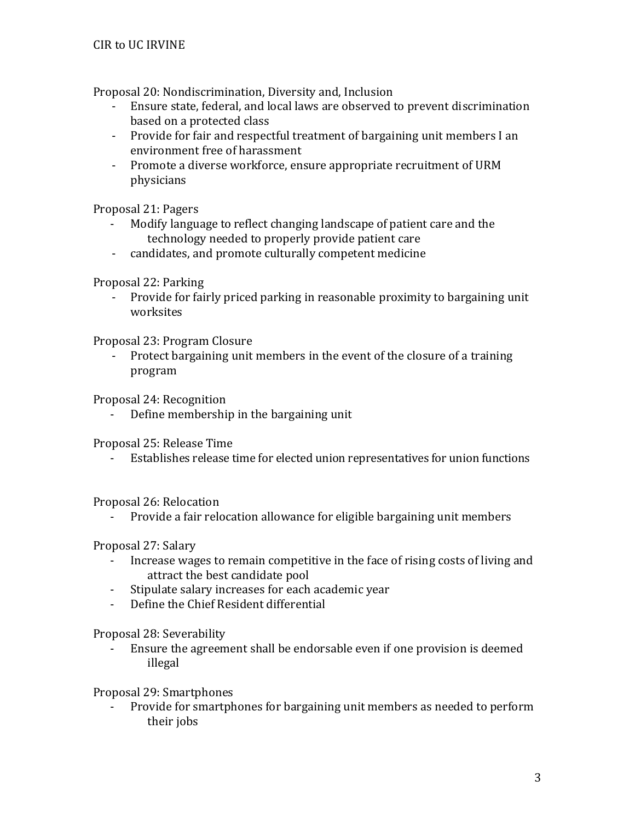Proposal 20: Nondiscrimination, Diversity and, Inclusion

- Ensure state, federal, and local laws are observed to prevent discrimination based on a protected class
- Provide for fair and respectful treatment of bargaining unit members I an environment free of harassment
- Promote a diverse workforce, ensure appropriate recruitment of URM physicians

Proposal 21: Pagers

- Modify language to reflect changing landscape of patient care and the technology needed to properly provide patient care
- candidates, and promote culturally competent medicine

Proposal 22: Parking

- Provide for fairly priced parking in reasonable proximity to bargaining unit worksites

Proposal 23: Program Closure

- Protect bargaining unit members in the event of the closure of a training program

Proposal 24: Recognition

Define membership in the bargaining unit

Proposal 25: Release Time

- Establishes release time for elected union representatives for union functions

Proposal 26: Relocation

- Provide a fair relocation allowance for eligible bargaining unit members

Proposal 27: Salary

- Increase wages to remain competitive in the face of rising costs of living and attract the best candidate pool
- Stipulate salary increases for each academic year
- Define the Chief Resident differential

Proposal 28: Severability

- Ensure the agreement shall be endorsable even if one provision is deemed illegal

Proposal 29: Smartphones

Provide for smartphones for bargaining unit members as needed to perform their jobs